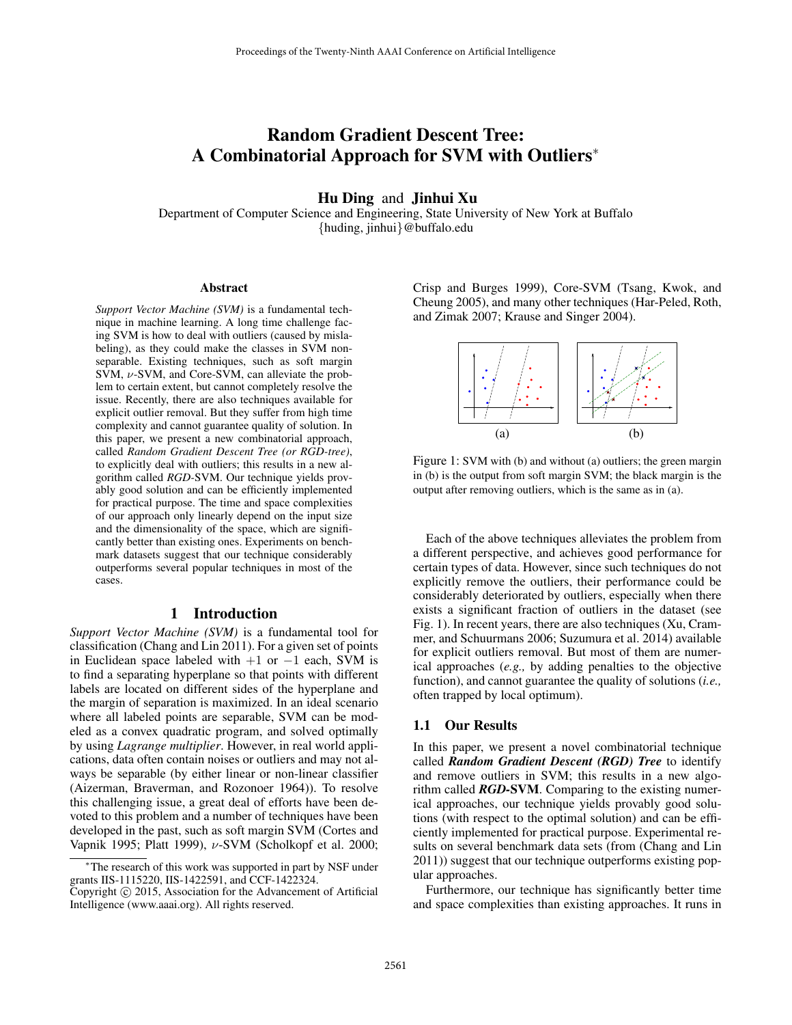# Random Gradient Descent Tree: A Combinatorial Approach for SVM with Outliers<sup>∗</sup>

## Hu Ding and Jinhui Xu

Department of Computer Science and Engineering, State University of New York at Buffalo {huding, jinhui}@buffalo.edu

#### Abstract

*Support Vector Machine (SVM)* is a fundamental technique in machine learning. A long time challenge facing SVM is how to deal with outliers (caused by mislabeling), as they could make the classes in SVM nonseparable. Existing techniques, such as soft margin SVM, ν-SVM, and Core-SVM, can alleviate the problem to certain extent, but cannot completely resolve the issue. Recently, there are also techniques available for explicit outlier removal. But they suffer from high time complexity and cannot guarantee quality of solution. In this paper, we present a new combinatorial approach, called *Random Gradient Descent Tree (or RGD-tree)*, to explicitly deal with outliers; this results in a new algorithm called *RGD-*SVM. Our technique yields provably good solution and can be efficiently implemented for practical purpose. The time and space complexities of our approach only linearly depend on the input size and the dimensionality of the space, which are significantly better than existing ones. Experiments on benchmark datasets suggest that our technique considerably outperforms several popular techniques in most of the cases.

# 1 Introduction

*Support Vector Machine (SVM)* is a fundamental tool for classification (Chang and Lin 2011). For a given set of points in Euclidean space labeled with  $+1$  or  $-1$  each, SVM is to find a separating hyperplane so that points with different labels are located on different sides of the hyperplane and the margin of separation is maximized. In an ideal scenario where all labeled points are separable, SVM can be modeled as a convex quadratic program, and solved optimally by using *Lagrange multiplier*. However, in real world applications, data often contain noises or outliers and may not always be separable (by either linear or non-linear classifier (Aizerman, Braverman, and Rozonoer 1964)). To resolve this challenging issue, a great deal of efforts have been devoted to this problem and a number of techniques have been developed in the past, such as soft margin SVM (Cortes and Vapnik 1995; Platt 1999), ν-SVM (Scholkopf et al. 2000;

Crisp and Burges 1999), Core-SVM (Tsang, Kwok, and Cheung 2005), and many other techniques (Har-Peled, Roth, and Zimak 2007; Krause and Singer 2004).



Figure 1: SVM with (b) and without (a) outliers; the green margin in (b) is the output from soft margin SVM; the black margin is the output after removing outliers, which is the same as in (a).

Each of the above techniques alleviates the problem from a different perspective, and achieves good performance for certain types of data. However, since such techniques do not explicitly remove the outliers, their performance could be considerably deteriorated by outliers, especially when there exists a significant fraction of outliers in the dataset (see Fig. 1). In recent years, there are also techniques (Xu, Crammer, and Schuurmans 2006; Suzumura et al. 2014) available for explicit outliers removal. But most of them are numerical approaches (*e.g.,* by adding penalties to the objective function), and cannot guarantee the quality of solutions (*i.e.,* often trapped by local optimum).

## 1.1 Our Results

In this paper, we present a novel combinatorial technique called *Random Gradient Descent (RGD) Tree* to identify and remove outliers in SVM; this results in a new algorithm called *RGD-*SVM. Comparing to the existing numerical approaches, our technique yields provably good solutions (with respect to the optimal solution) and can be efficiently implemented for practical purpose. Experimental results on several benchmark data sets (from (Chang and Lin 2011)) suggest that our technique outperforms existing popular approaches.

Furthermore, our technique has significantly better time and space complexities than existing approaches. It runs in

<sup>∗</sup>The research of this work was supported in part by NSF under grants IIS-1115220, IIS-1422591, and CCF-1422324.

Copyright © 2015, Association for the Advancement of Artificial Intelligence (www.aaai.org). All rights reserved.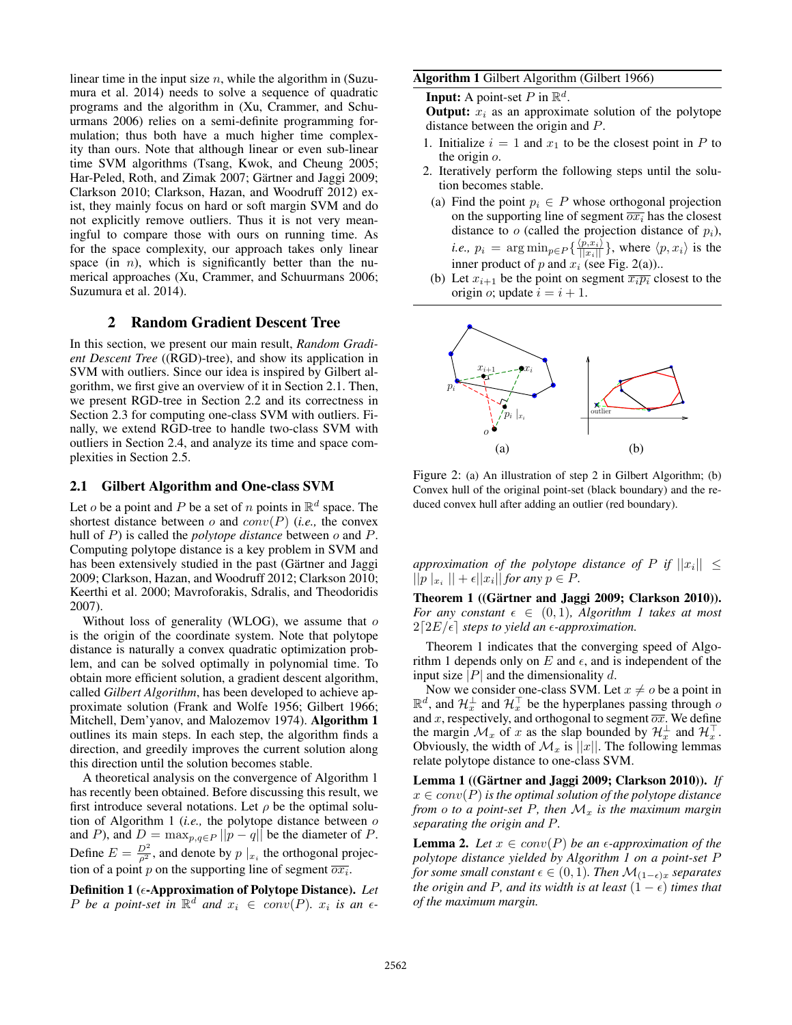linear time in the input size  $n$ , while the algorithm in (Suzumura et al. 2014) needs to solve a sequence of quadratic programs and the algorithm in (Xu, Crammer, and Schuurmans 2006) relies on a semi-definite programming formulation; thus both have a much higher time complexity than ours. Note that although linear or even sub-linear time SVM algorithms (Tsang, Kwok, and Cheung 2005; Har-Peled, Roth, and Zimak 2007; Gärtner and Jaggi 2009; Clarkson 2010; Clarkson, Hazan, and Woodruff 2012) exist, they mainly focus on hard or soft margin SVM and do not explicitly remove outliers. Thus it is not very meaningful to compare those with ours on running time. As for the space complexity, our approach takes only linear space (in  $n$ ), which is significantly better than the numerical approaches (Xu, Crammer, and Schuurmans 2006; Suzumura et al. 2014).

# 2 Random Gradient Descent Tree

In this section, we present our main result, *Random Gradient Descent Tree* ((RGD)-tree), and show its application in SVM with outliers. Since our idea is inspired by Gilbert algorithm, we first give an overview of it in Section 2.1. Then, we present RGD-tree in Section 2.2 and its correctness in Section 2.3 for computing one-class SVM with outliers. Finally, we extend RGD-tree to handle two-class SVM with outliers in Section 2.4, and analyze its time and space complexities in Section 2.5.

## 2.1 Gilbert Algorithm and One-class SVM

Let *o* be a point and *P* be a set of *n* points in  $\mathbb{R}^d$  space. The shortest distance between  $o$  and  $conv(P)$  (*i.e.*, the convex hull of P) is called the *polytope distance* between o and P. Computing polytope distance is a key problem in SVM and has been extensively studied in the past (Gärtner and Jaggi 2009; Clarkson, Hazan, and Woodruff 2012; Clarkson 2010; Keerthi et al. 2000; Mavroforakis, Sdralis, and Theodoridis 2007).

Without loss of generality (WLOG), we assume that  $o$ is the origin of the coordinate system. Note that polytope distance is naturally a convex quadratic optimization problem, and can be solved optimally in polynomial time. To obtain more efficient solution, a gradient descent algorithm, called *Gilbert Algorithm*, has been developed to achieve approximate solution (Frank and Wolfe 1956; Gilbert 1966; Mitchell, Dem'yanov, and Malozemov 1974). Algorithm 1 outlines its main steps. In each step, the algorithm finds a direction, and greedily improves the current solution along this direction until the solution becomes stable.

A theoretical analysis on the convergence of Algorithm 1 has recently been obtained. Before discussing this result, we first introduce several notations. Let  $\rho$  be the optimal solution of Algorithm 1 (*i.e.,* the polytope distance between o and P), and  $D = \max_{p,q \in P} ||p - q||$  be the diameter of P. Define  $E = \frac{D^2}{\rho^2}$ , and denote by  $p \mid x_i$  the orthogonal projection of a point p on the supporting line of segment  $\overline{ox_i}$ .

Definition 1 ( $\epsilon$ -Approximation of Polytope Distance). *Let P* be a point-set in  $\mathbb{R}^d$  and  $x_i \in conv(P)$ .  $x_i$  is an  $\epsilon$ -

#### Algorithm 1 Gilbert Algorithm (Gilbert 1966)

**Input:** A point-set P in  $\mathbb{R}^d$ .

**Output:**  $x_i$  as an approximate solution of the polytope distance between the origin and P.

- 1. Initialize  $i = 1$  and  $x_1$  to be the closest point in P to the origin o.
- 2. Iteratively perform the following steps until the solution becomes stable.
	- (a) Find the point  $p_i \in P$  whose orthogonal projection on the supporting line of segment  $\overline{ox_i}$  has the closest distance to  $o$  (called the projection distance of  $p_i$ ), *i.e.,*  $p_i = \arg \min_{p \in P} \{ \frac{\langle p, x_i \rangle}{||x_i||} \}$ , where  $\langle p, x_i \rangle$  is the inner product of  $p$  and  $x_i$  (see Fig. 2(a))..
- (b) Let  $x_{i+1}$  be the point on segment  $\overline{x_i p_i}$  closest to the origin *o*; update  $i = i + 1$ .



Figure 2: (a) An illustration of step 2 in Gilbert Algorithm; (b) Convex hull of the original point-set (black boundary) and the reduced convex hull after adding an outlier (red boundary).

*approximation of the polytope distance of*  $P$  *if*  $||x_i|| \leq$  $||p||_{x_i}|| + \epsilon ||x_i||$  *for any*  $p \in P$ .

Theorem 1 ((Gärtner and Jaggi 2009; Clarkson 2010)). *For any constant*  $\epsilon \in (0,1)$ *, Algorithm 1 takes at most*  $2[2E/\epsilon]$  *steps to yield an*  $\epsilon$ -approximation.

Theorem 1 indicates that the converging speed of Algorithm 1 depends only on E and  $\epsilon$ , and is independent of the input size |P| and the dimensionality d.

Now we consider one-class SVM. Let  $x \neq o$  be a point in  $\mathbb{R}^d$ , and  $\mathcal{H}_x^{\perp}$  and  $\mathcal{H}_x^{\top}$  be the hyperplanes passing through  $\varphi$ and x, respectively, and orthogonal to segment  $\overline{ox}$ . We define the margin  $\mathcal{M}_x$  of x as the slap bounded by  $\mathcal{H}_x^{\perp}$  and  $\mathcal{H}_x^{\perp}$ . Obviously, the width of  $\mathcal{M}_x$  is  $||x||$ . The following lemmas relate polytope distance to one-class SVM.

Lemma 1 ((Gärtner and Jaggi 2009; Clarkson 2010)). If  $x \in conv(P)$  *is the optimal solution of the polytope distance from o to a* point-set P, then  $\mathcal{M}_x$  *is the maximum margin separating the origin and* P*.*

**Lemma 2.** Let  $x \in conv(P)$  be an  $\epsilon$ -approximation of the *polytope distance yielded by Algorithm 1 on a point-set* P *for some small constant*  $\epsilon \in (0,1)$ *. Then*  $\mathcal{M}_{(1-\epsilon)x}$  *separates the origin and* P, and its width is at least  $(1 - \epsilon)$  times that *of the maximum margin.*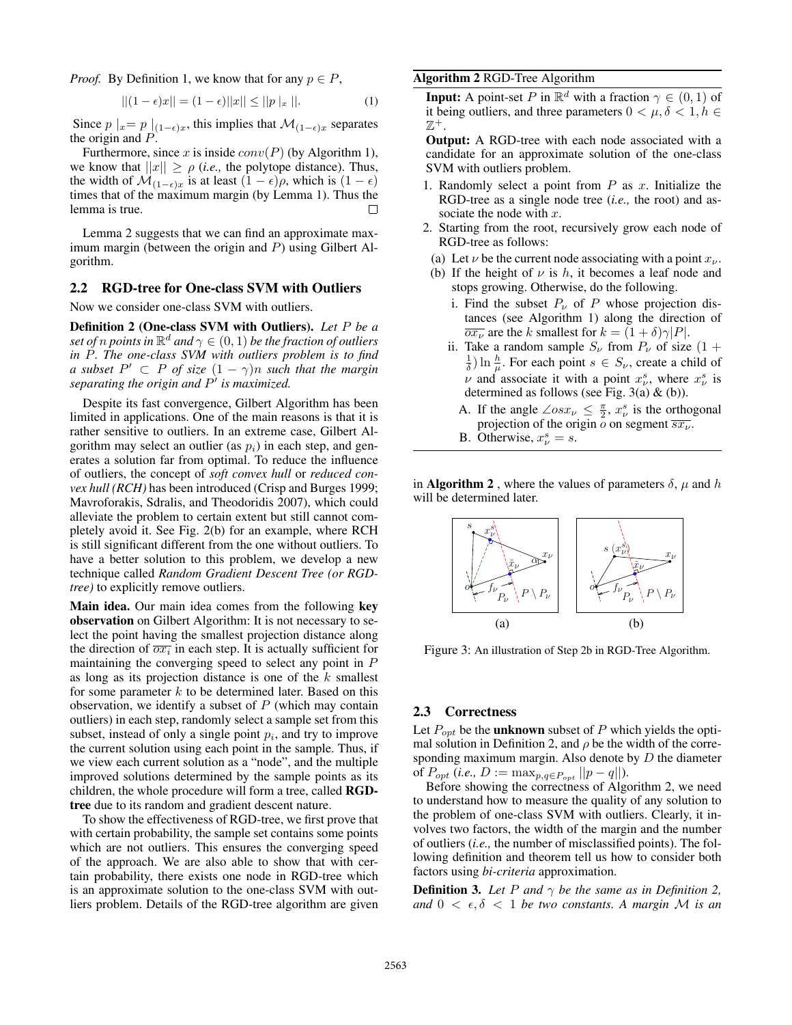*Proof.* By Definition 1, we know that for any  $p \in P$ ,

$$
||(1 - \epsilon)x|| = (1 - \epsilon)||x|| \le ||p||_x ||.
$$
 (1)

Since  $p \mid_x = p \mid_{(1-\epsilon)x}$ , this implies that  $\mathcal{M}_{(1-\epsilon)x}$  separates the origin and P.

Furthermore, since x is inside  $conv(P)$  (by Algorithm 1), we know that  $||x|| \ge \rho$  *(i.e., the polytope distance). Thus,* the width of  $\mathcal{M}_{(1-\epsilon)x}$  is at least  $(1 - \epsilon)\rho$ , which is  $(1 - \epsilon)$ times that of the maximum margin (by Lemma 1). Thus the lemma is true.

Lemma 2 suggests that we can find an approximate maximum margin (between the origin and  $P$ ) using Gilbert Algorithm.

### 2.2 RGD-tree for One-class SVM with Outliers

Now we consider one-class SVM with outliers.

Definition 2 (One-class SVM with Outliers). *Let* P *be a set of n points in*  $\mathbb{R}^d$  *and*  $\gamma \in (0,1)$  *be the fraction of outliers in* P*. The one-class SVM with outliers problem is to find a* subset  $P' \subset P$  *of size*  $(1 - \gamma)n$  *such that the margin separating the origin and* P 0 *is maximized.*

Despite its fast convergence, Gilbert Algorithm has been limited in applications. One of the main reasons is that it is rather sensitive to outliers. In an extreme case, Gilbert Algorithm may select an outlier (as  $p_i$ ) in each step, and generates a solution far from optimal. To reduce the influence of outliers, the concept of *soft convex hull* or *reduced convex hull (RCH)* has been introduced (Crisp and Burges 1999; Mavroforakis, Sdralis, and Theodoridis 2007), which could alleviate the problem to certain extent but still cannot completely avoid it. See Fig. 2(b) for an example, where RCH is still significant different from the one without outliers. To have a better solution to this problem, we develop a new technique called *Random Gradient Descent Tree (or RGDtree)* to explicitly remove outliers.

Main idea. Our main idea comes from the following key observation on Gilbert Algorithm: It is not necessary to select the point having the smallest projection distance along the direction of  $\overline{ox_i}$  in each step. It is actually sufficient for maintaining the converging speed to select any point in P as long as its projection distance is one of the  $k$  smallest for some parameter  $k$  to be determined later. Based on this observation, we identify a subset of  $P$  (which may contain outliers) in each step, randomly select a sample set from this subset, instead of only a single point  $p_i$ , and try to improve the current solution using each point in the sample. Thus, if we view each current solution as a "node", and the multiple improved solutions determined by the sample points as its children, the whole procedure will form a tree, called RGDtree due to its random and gradient descent nature.

To show the effectiveness of RGD-tree, we first prove that with certain probability, the sample set contains some points which are not outliers. This ensures the converging speed of the approach. We are also able to show that with certain probability, there exists one node in RGD-tree which is an approximate solution to the one-class SVM with outliers problem. Details of the RGD-tree algorithm are given

### Algorithm 2 RGD-Tree Algorithm

**Input:** A point-set P in  $\mathbb{R}^d$  with a fraction  $\gamma \in (0,1)$  of it being outliers, and three parameters  $0 < \mu, \delta < 1, h \in$  $\mathbb{Z}^+$ .

Output: A RGD-tree with each node associated with a candidate for an approximate solution of the one-class SVM with outliers problem.

- 1. Randomly select a point from  $P$  as  $x$ . Initialize the RGD-tree as a single node tree (*i.e.,* the root) and associate the node with  $x$ .
- 2. Starting from the root, recursively grow each node of RGD-tree as follows:
	- (a) Let  $\nu$  be the current node associating with a point  $x_{\nu}$ .
- (b) If the height of  $\nu$  is h, it becomes a leaf node and stops growing. Otherwise, do the following.
	- i. Find the subset  $P_{\nu}$  of P whose projection distances (see Algorithm 1) along the direction of  $\overline{ox_{\nu}}$  are the k smallest for  $k = (1 + \delta)\gamma |P|$ .
	- ii. Take a random sample  $S_{\nu}$  from  $P_{\nu}$  of size (1 +  $\frac{1}{\delta}$ ) ln  $\frac{h}{\mu}$ . For each point  $s \in S_{\nu}$ , create a child of  $\nu$  and associate it with a point  $x_{\nu}^s$ , where  $x_{\nu}^s$  is determined as follows (see Fig. 3(a)  $\&$  (b)).
		- A. If the angle  $\angle osx_v \leq \frac{\pi}{2}$ ,  $x_v^s$  is the orthogonal projection of the origin  $\overline{o}$  on segment  $\overline{s x_{\nu}}$ .
		- B. Otherwise,  $x^s_\nu = s$ .

in **Algorithm 2**, where the values of parameters  $\delta$ ,  $\mu$  and h will be determined later.



Figure 3: An illustration of Step 2b in RGD-Tree Algorithm.

# 2.3 Correctness

Let  $P_{opt}$  be the **unknown** subset of P which yields the optimal solution in Definition 2, and  $\rho$  be the width of the corresponding maximum margin. Also denote by  $D$  the diameter of  $P_{opt}$  (*i.e.*,  $D := \max_{p,q \in P_{opt}} ||p - q||$ ).

Before showing the correctness of Algorithm 2, we need to understand how to measure the quality of any solution to the problem of one-class SVM with outliers. Clearly, it involves two factors, the width of the margin and the number of outliers (*i.e.,* the number of misclassified points). The following definition and theorem tell us how to consider both factors using *bi-criteria* approximation.

**Definition 3.** Let P and  $\gamma$  be the same as in Definition 2, and  $0 < \epsilon, \delta < 1$  *be two constants. A margin M is an*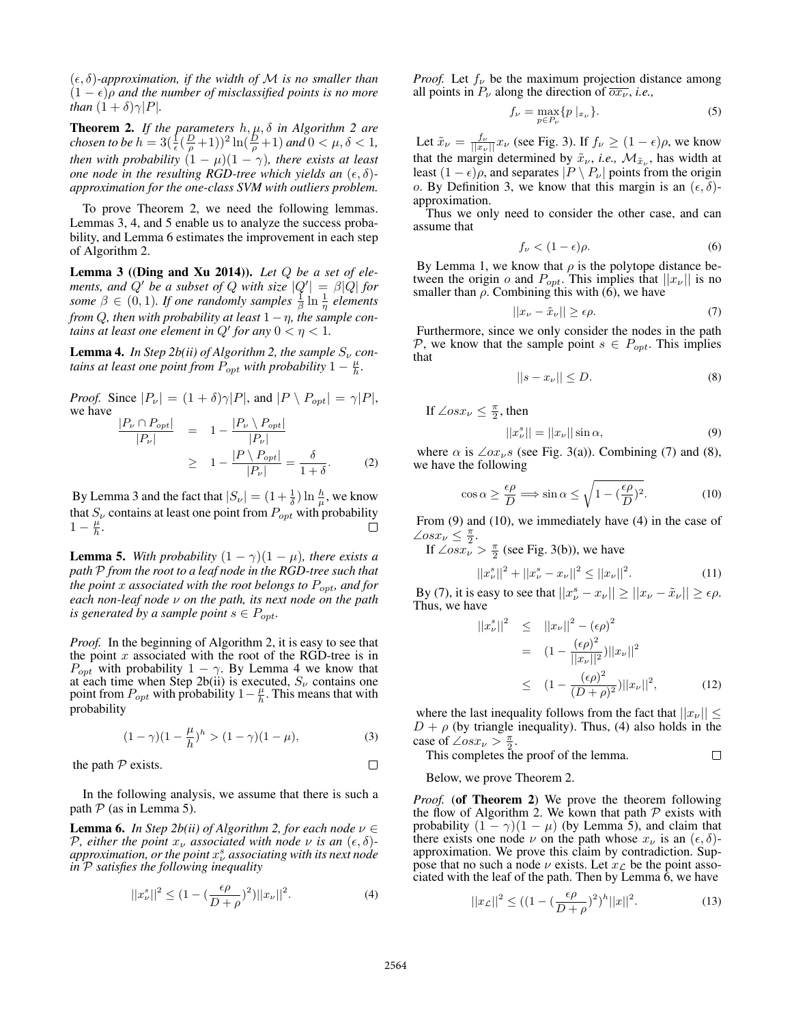$(\epsilon, \delta)$ -approximation, if the width of M is no smaller than  $(1 - \epsilon)\rho$  and the number of misclassified points is no more *than*  $(1 + \delta)\gamma|P|$ *.* 

Theorem 2. *If the parameters* h, µ, δ *in Algorithm 2 are chosen to be*  $h = 3(\frac{1}{\epsilon}(\frac{D}{\rho}+1))^2 \ln(\frac{D}{\rho}+1)$  *and*  $0 < \mu, \delta < 1$ *, then with probability*  $(1 - \mu)(1 - \gamma)$ *, there exists at least one node in the resulting RGD-tree which yields an*  $(\epsilon, \delta)$ *approximation for the one-class SVM with outliers problem.*

To prove Theorem 2, we need the following lemmas. Lemmas 3, 4, and 5 enable us to analyze the success probability, and Lemma 6 estimates the improvement in each step of Algorithm 2.

Lemma 3 ((Ding and Xu 2014)). *Let* Q *be a set of elements, and*  $Q'$  *be a subset of*  $Q$  *with size*  $|Q'| = \beta |Q|$  *for some*  $\beta \in (0,1)$ *. If one randomly samples*  $\frac{1}{\beta} \ln \frac{1}{\eta}$  elements *from*  $Q$ , then with probability at least  $1 - \eta$ , the sample con*tains at least one element in Q' for any*  $0 < \eta < 1$ .

**Lemma 4.** In Step 2b(ii) of Algorithm 2, the sample  $S_v$  con*tains at least one point from*  $\overline{P}_{opt}$  *with probability*  $1 - \frac{\mu}{h}$ *.* 

*Proof.* Since  $|P_{\nu}| = (1 + \delta)\gamma|P|$ , and  $|P \setminus P_{opt}| = \gamma|P|$ , we have  $|P_\nu \cap P_{opt}|$  $\frac{\bigcap P_{opt}}{\big|P_{\nu}\big|}$  =  $1 - \frac{\big|P_{\nu} \setminus P_{opt}\big|}{\big|P_{\nu}\big|}$  $|P_\nu|$  $\geq 1 - \frac{|P \setminus P_{opt}|}{|P|}$  $\frac{\langle P_{opt}|}{|P_{\nu}|} = \frac{\delta}{1+\delta}$  $1+\delta$ . (2)

By Lemma 3 and the fact that  $|S_{\nu}| = (1 + \frac{1}{\delta}) \ln \frac{h}{\mu}$ , we know that  $S_{\nu}$  contains at least one point from  $P_{opt}$  with probability  $1-\frac{\mu}{h}$ .

**Lemma 5.** *With probability*  $(1 - \gamma)(1 - \mu)$ *, there exists a path* P *from the root to a leaf node in the RGD-tree such that the point* x *associated with the root belongs to* Popt*, and for each non-leaf node* ν *on the path, its next node on the path is generated by a sample point*  $s \in P_{opt}$ .

*Proof.* In the beginning of Algorithm 2, it is easy to see that the point  $x$  associated with the root of the RGD-tree is in  $P_{opt}$  with probability  $1 - \gamma$ . By Lemma 4 we know that at each time when Step 2b(ii) is executed,  $S_{\nu}$  contains one point from  $P_{opt}$  with probability  $1 - \frac{\mu}{h}$ . This means that with probability

$$
(1 - \gamma)(1 - \frac{\mu}{h})^h > (1 - \gamma)(1 - \mu),
$$
\n(3)

the path  $P$  exists.

In the following analysis, we assume that there is such a path  $P$  (as in Lemma 5).

**Lemma 6.** *In Step 2b(ii) of Algorithm 2, for each node*  $\nu \in$ *P*, either the point  $x_{\nu}$  associated with node  $\nu$  is an  $(\epsilon, \delta)$ *approximation, or the point* x s <sup>ν</sup> *associating with its next node in* P *satisfies the following inequality*

$$
||x_{\nu}^{s}||^{2} \le (1 - (\frac{\epsilon \rho}{D + \rho})^{2})||x_{\nu}||^{2}.
$$
 (4)

*Proof.* Let  $f_{\nu}$  be the maximum projection distance among all points in  $P_{\nu}$  along the direction of  $\overline{ox_{\nu}}$ , *i.e.*,

$$
f_{\nu} = \max_{p \in P_{\nu}} \{ p \mid_{x_{\nu}} \}.
$$
\n
$$
(5)
$$

Let  $\tilde{x}_{\nu} = \frac{f_{\nu}}{||x_{\nu}||} x_{\nu}$  (see Fig. 3). If  $f_{\nu} \ge (1 - \epsilon)\rho$ , we know that the margin determined by  $\tilde{x}_{\nu}$ , *i.e.*,  $\mathcal{M}_{\tilde{x}_{\nu}}$ , has width at least  $(1 - \epsilon)\rho$ , and separates  $|P \setminus P_{\nu}|$  points from the origin o. By Definition 3, we know that this margin is an  $(\epsilon, \delta)$ approximation.

Thus we only need to consider the other case, and can assume that

$$
f_{\nu} < (1 - \epsilon)\rho. \tag{6}
$$

By Lemma 1, we know that  $\rho$  is the polytope distance between the origin  $\rho$  and  $P_{opt}$ . This implies that  $||x_{\nu}||$  is no smaller than  $\rho$ . Combining this with (6), we have

$$
||x_{\nu} - \tilde{x}_{\nu}|| \ge \epsilon \rho. \tag{7}
$$

Furthermore, since we only consider the nodes in the path P, we know that the sample point  $s \in P_{opt}$ . This implies that

$$
||s - x_{\nu}|| \le D. \tag{8}
$$

If  $\angle osx_v \leq \frac{\pi}{2}$ , then

$$
||x^s_\nu|| = ||x_\nu|| \sin \alpha,\tag{9}
$$

where  $\alpha$  is  $\angle$ ox<sub>v</sub>s (see Fig. 3(a)). Combining (7) and (8), we have the following

$$
\cos \alpha \ge \frac{\epsilon \rho}{D} \Longrightarrow \sin \alpha \le \sqrt{1 - (\frac{\epsilon \rho}{D})^2}.
$$
 (10)

From (9) and (10), we immediately have (4) in the case of  $\angle osx_{\nu} \leq \frac{\pi}{2}.$ 

If  $\angle osx_{\nu}^2 > \frac{\pi}{2}$  (see Fig. 3(b)), we have

$$
||x_{\nu}^{s}||^{2} + ||x_{\nu}^{s} - x_{\nu}||^{2} \le ||x_{\nu}||^{2}.
$$
 (11)

By (7), it is easy to see that  $||x_{\nu}^{s} - x_{\nu}|| \ge ||x_{\nu} - \tilde{x}_{\nu}|| \ge \epsilon \rho$ . Thus, we have

$$
||x_{\nu}^{s}||^{2} \leq ||x_{\nu}||^{2} - (\epsilon \rho)^{2}
$$
  
=  $(1 - \frac{(\epsilon \rho)^{2}}{||x_{\nu}||^{2}})||x_{\nu}||^{2}$   
 $\leq (1 - \frac{(\epsilon \rho)^{2}}{(D + \rho)^{2}})||x_{\nu}||^{2},$  (12)

where the last inequality follows from the fact that  $||x_v|| \le$  $D + \rho$  (by triangle inequality). Thus, (4) also holds in the case of  $\angle osx_\nu > \frac{\pi}{2}$ .

This completes the proof of the lemma.  $\Box$ 

Below, we prove Theorem 2.

*Proof.* (of **Theorem 2**) We prove the theorem following the flow of Algorithm 2. We kown that path  $P$  exists with probability  $(1 - \gamma)(1 - \mu)$  (by Lemma 5), and claim that there exists one node  $\nu$  on the path whose  $x_{\nu}$  is an  $(\epsilon, \delta)$ approximation. We prove this claim by contradiction. Suppose that no such a node  $\nu$  exists. Let  $x_{\mathcal{L}}$  be the point associated with the leaf of the path. Then by Lemma 6, we have

$$
||x_{\mathcal{L}}||^2 \le ((1 - (\frac{\epsilon \rho}{D + \rho})^2)^h ||x||^2).
$$
 (13)

 $\Box$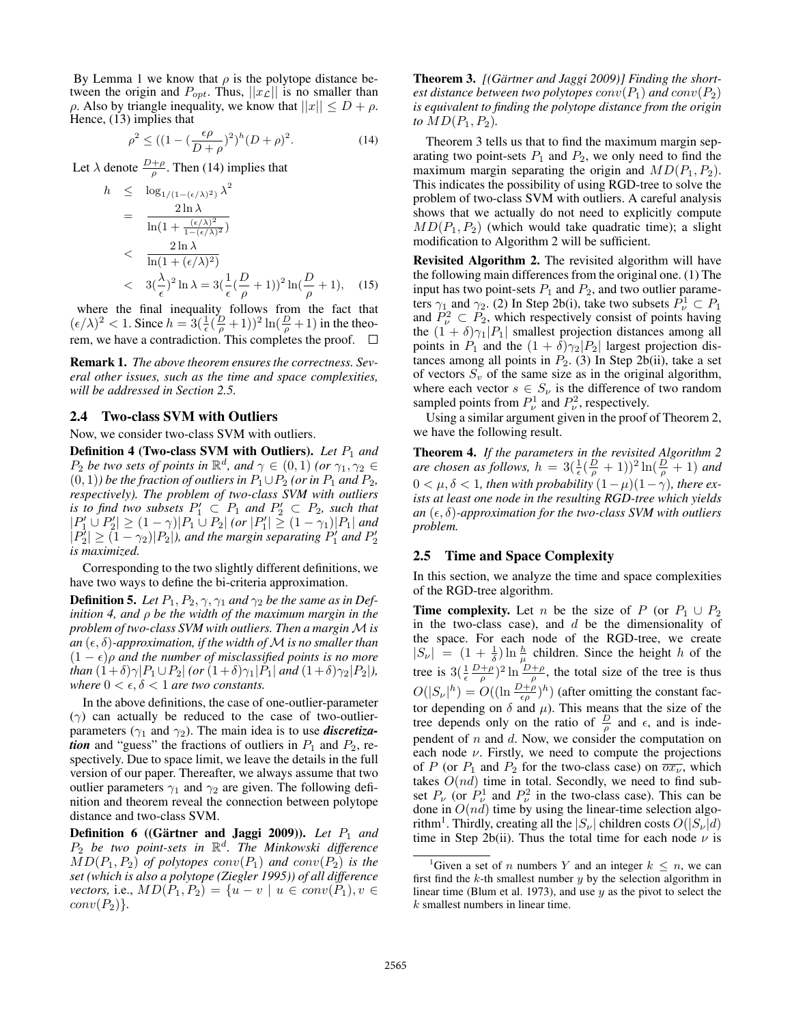By Lemma 1 we know that  $\rho$  is the polytope distance between the origin and  $P_{opt}$ . Thus,  $||x_L||$  is no smaller than  $\rho$ . Also by triangle inequality, we know that  $||x|| \le D + \rho$ . Hence, (13) implies that

$$
\rho^2 \le ((1 - (\frac{\epsilon \rho}{D + \rho})^2)^h (D + \rho)^2).
$$
 (14)

Let  $\lambda$  denote  $\frac{D+\rho}{\rho}$ . Then (14) implies that

$$
h \leq \log_{1/(1 - (\epsilon/\lambda)^2)} \lambda^2
$$
  
= 
$$
\frac{2 \ln \lambda}{\ln(1 + \frac{(\epsilon/\lambda)^2}{1 - (\epsilon/\lambda)^2})}
$$
  
< 
$$
\frac{2 \ln \lambda}{\ln(1 + (\epsilon/\lambda)^2)}
$$
  
< 
$$
3(\frac{\lambda}{\epsilon})^2 \ln \lambda = 3(\frac{1}{\epsilon}(\frac{D}{\rho} + 1))^2 \ln(\frac{D}{\rho} + 1),
$$
 (15)

where the final inequality follows from the fact that  $(\epsilon/\lambda)^2 < 1$ . Since  $h = 3(\frac{1}{\epsilon}(\frac{D}{\rho}+1))^2 \ln(\frac{D}{\rho}+1)$  in the theorem, we have a contradiction. This completes the proof.

Remark 1. *The above theorem ensures the correctness. Several other issues, such as the time and space complexities, will be addressed in Section 2.5.*

#### 2.4 Two-class SVM with Outliers

Now, we consider two-class SVM with outliers.

Definition 4 (Two-class SVM with Outliers). Let  $P_1$  and *P*<sub>2</sub> *be two sets of points in*  $\mathbb{R}^d$ , and  $\gamma \in (0,1)$  *(or*  $\gamma_1, \gamma_2 \in$  $(0, 1)$ *) be the fraction of outliers in*  $P_1 \cup P_2$  *(or in*  $P_1$  *and*  $P_2$ *, respectively). The problem of two-class SVM with outliers is to find two subsets*  $P'_1 \subseteq P_1$  *and*  $P'_2 \subseteq P_2$ *, such that*  $|P'_1 \cup P'_2| \geq (1 - \gamma)|P_1 \cup P_2|$  *(or*  $|P'_1| \geq (1 - \gamma_1)|P_1|$  *and*  $|P_2'|\geq (1-\gamma_2)|P_2|$ , and the margin separating  $P_1'$  and  $P_2'$ *is maximized.*

Corresponding to the two slightly different definitions, we have two ways to define the bi-criteria approximation.

**Definition 5.** Let  $P_1, P_2, \gamma, \gamma_1$  and  $\gamma_2$  be the same as in Def*inition 4, and* ρ *be the width of the maximum margin in the problem of two-class SVM with outliers. Then a margin M is*  $an(\epsilon, \delta)$ -approximation, if the width of M is no smaller than  $(1 - \epsilon)\rho$  and the number of misclassified points is no more *than*  $(1+\delta)\gamma|P_1 \cup P_2|$  *(or*  $(1+\delta)\gamma_1|P_1|$  *and*  $(1+\delta)\gamma_2|P_2|$ *), where*  $0 < \epsilon, \delta < 1$  *are two constants.* 

In the above definitions, the case of one-outlier-parameter (γ) can actually be reduced to the case of two-outlierparameters  $(\gamma_1$  and  $\gamma_2$ ). The main idea is to use *discretization* and "guess" the fractions of outliers in  $P_1$  and  $P_2$ , respectively. Due to space limit, we leave the details in the full version of our paper. Thereafter, we always assume that two outlier parameters  $\gamma_1$  and  $\gamma_2$  are given. The following definition and theorem reveal the connection between polytope distance and two-class SVM.

**Definition 6** ((Gärtner and Jaggi 2009)). Let  $P_1$  and P<sup>2</sup> *be two point-sets in* R d *. The Minkowski difference*  $MD(P_1, P_2)$  *of polytopes*  $conv(P_1)$  *and*  $conv(P_2)$  *is the set (which is also a polytope (Ziegler 1995)) of all difference vectors,* i.e.,  $MD(P_1, P_2) = \{u - v \mid u \in conv(P_1), v \in$  $conv(P_2)$ .

Theorem 3. *[(Gartner and Jaggi 2009)] Finding the short- ¨ est distance between two polytopes*  $conv(P_1)$  *and*  $conv(P_2)$ *is equivalent to finding the polytope distance from the origin to*  $MD(P_1, P_2)$ *.* 

Theorem 3 tells us that to find the maximum margin separating two point-sets  $P_1$  and  $P_2$ , we only need to find the maximum margin separating the origin and  $MD(P_1, P_2)$ . This indicates the possibility of using RGD-tree to solve the problem of two-class SVM with outliers. A careful analysis shows that we actually do not need to explicitly compute  $MD(P_1, P_2)$  (which would take quadratic time); a slight modification to Algorithm 2 will be sufficient.

Revisited Algorithm 2. The revisited algorithm will have the following main differences from the original one. (1) The input has two point-sets  $P_1$  and  $P_2$ , and two outlier parameters  $\gamma_1$  and  $\gamma_2$ . (2) In Step 2b(i), take two subsets  $\hat{P}^1_{\nu} \subset P_1$ and  $P^2_{\nu} \subset P_2$ , which respectively consist of points having the  $(1 + \delta)\gamma_1|P_1|$  smallest projection distances among all points in  $P_1$  and the  $(1 + \delta)\gamma_2|P_2|$  largest projection distances among all points in  $P_2$ . (3) In Step 2b(ii), take a set of vectors  $S_v$  of the same size as in the original algorithm, where each vector  $s \in S_{\nu}$  is the difference of two random sampled points from  $P_{\nu}^1$  and  $P_{\nu}^2$ , respectively.

Using a similar argument given in the proof of Theorem 2, we have the following result.

Theorem 4. *If the parameters in the revisited Algorithm 2 are chosen as follows,*  $h = 3(\frac{1}{\epsilon}(\frac{D}{\rho}+1))^2 \ln(\frac{D}{\rho}+1)$  *and*  $0 < \mu, \delta < 1$ , then with probability  $(1 - \mu)(1 - \gamma)$ , there ex*ists at least one node in the resulting RGD-tree which yields an*  $(\epsilon, \delta)$ -*approximation for the two-class SVM with outliers problem.*

#### 2.5 Time and Space Complexity

In this section, we analyze the time and space complexities of the RGD-tree algorithm.

**Time complexity.** Let *n* be the size of P (or  $P_1 \cup P_2$ ) in the two-class case), and  $d$  be the dimensionality of the space. For each node of the RGD-tree, we create  $|S_{\nu}| = (1 + \frac{1}{\delta}) \ln \frac{h}{\mu}$  children. Since the height h of the tree is  $3(\frac{1}{\epsilon} \frac{D+\rho}{\rho})^2 \ln \frac{D+\rho}{\rho}$ , the total size of the tree is thus  $O(|S_{\nu}|^h) = O((\ln \frac{D+\rho}{\epsilon \rho})^h)$  (after omitting the constant factor depending on  $\delta$  and  $\mu$ ). This means that the size of the tree depends only on the ratio of  $\frac{D}{\rho}$  and  $\epsilon$ , and is independent of  $n$  and  $d$ . Now, we consider the computation on each node  $\nu$ . Firstly, we need to compute the projections of P (or  $P_1$  and  $P_2$  for the two-class case) on  $\overline{ox_v}$ , which takes  $O(nd)$  time in total. Secondly, we need to find subset  $P_\nu$  (or  $P_\nu^1$  and  $P_\nu^2$  in the two-class case). This can be done in  $O(nd)$  time by using the linear-time selection algorithm<sup>1</sup>. Thirdly, creating all the  $|S_{\nu}|$  children costs  $O(|S_{\nu}|d)$ time in Step 2b(ii). Thus the total time for each node  $\nu$  is

<sup>&</sup>lt;sup>1</sup>Given a set of *n* numbers Y and an integer  $k \leq n$ , we can first find the  $k$ -th smallest number  $y$  by the selection algorithm in linear time (Blum et al. 1973), and use  $y$  as the pivot to select the k smallest numbers in linear time.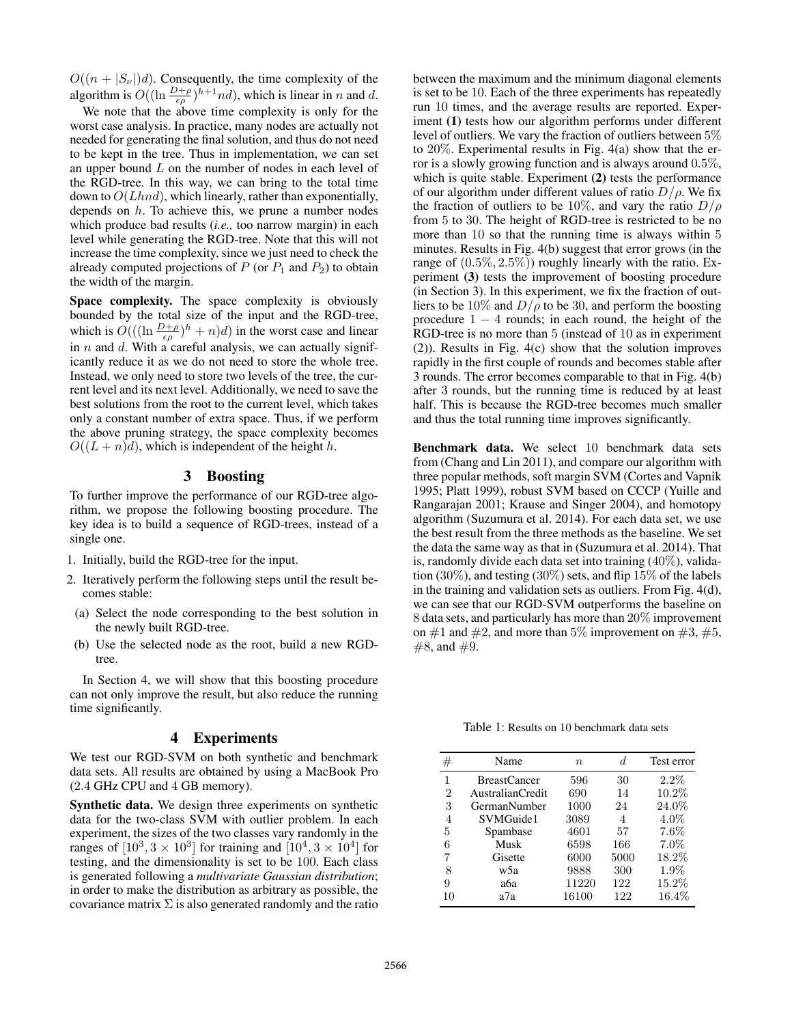$O((n + |S_{\nu}|)d)$ . Consequently, the time complexity of the algorithm is  $O((\ln \frac{D+\rho}{\epsilon \rho})^{h+1}nd)$ , which is linear in n and d.

We note that the above time complexity is only for the worst case analysis. In practice, many nodes are actually not needed for generating the final solution, and thus do not need to be kept in the tree. Thus in implementation, we can set an upper bound  $L$  on the number of nodes in each level of the RGD-tree. In this way, we can bring to the total time down to  $O(Lhnd)$ , which linearly, rather than exponentially, depends on  $h$ . To achieve this, we prune a number nodes which produce bad results (*i.e.,* too narrow margin) in each level while generating the RGD-tree. Note that this will not increase the time complexity, since we just need to check the already computed projections of  $P$  (or  $P_1$  and  $P_2$ ) to obtain the width of the margin.

Space complexity. The space complexity is obviously bounded by the total size of the input and the RGD-tree, which is  $O(((\ln \frac{D+\rho}{\epsilon \rho})^h + n)d)$  in the worst case and linear in  $n$  and  $d$ . With a careful analysis, we can actually significantly reduce it as we do not need to store the whole tree. Instead, we only need to store two levels of the tree, the current level and its next level. Additionally, we need to save the best solutions from the root to the current level, which takes only a constant number of extra space. Thus, if we perform the above pruning strategy, the space complexity becomes  $O((L+n)d)$ , which is independent of the height h.

# 3 Boosting

To further improve the performance of our RGD-tree algorithm, we propose the following boosting procedure. The key idea is to build a sequence of RGD-trees, instead of a single one.

- 1. Initially, build the RGD-tree for the input.
- 2. Iteratively perform the following steps until the result becomes stable:
- (a) Select the node corresponding to the best solution in the newly built RGD-tree.
- (b) Use the selected node as the root, build a new RGDtree.

In Section 4, we will show that this boosting procedure can not only improve the result, but also reduce the running time significantly.

## 4 Experiments

We test our RGD-SVM on both synthetic and benchmark data sets. All results are obtained by using a MacBook Pro (2.4 GHz CPU and 4 GB memory).

Synthetic data. We design three experiments on synthetic data for the two-class SVM with outlier problem. In each experiment, the sizes of the two classes vary randomly in the ranges of  $[10^3, 3 \times 10^3]$  for training and  $[10^4, 3 \times 10^4]$  for testing, and the dimensionality is set to be 100. Each class is generated following a *multivariate Gaussian distribution*; in order to make the distribution as arbitrary as possible, the covariance matrix  $\Sigma$  is also generated randomly and the ratio

between the maximum and the minimum diagonal elements is set to be 10. Each of the three experiments has repeatedly run 10 times, and the average results are reported. Experiment (1) tests how our algorithm performs under different level of outliers. We vary the fraction of outliers between 5% to 20%. Experimental results in Fig. 4(a) show that the error is a slowly growing function and is always around 0.5%, which is quite stable. Experiment (2) tests the performance of our algorithm under different values of ratio  $D/\rho$ . We fix the fraction of outliers to be 10%, and vary the ratio  $D/\rho$ from 5 to 30. The height of RGD-tree is restricted to be no more than 10 so that the running time is always within 5 minutes. Results in Fig. 4(b) suggest that error grows (in the range of  $(0.5\%, 2.5\%)$  roughly linearly with the ratio. Experiment (3) tests the improvement of boosting procedure (in Section 3). In this experiment, we fix the fraction of outliers to be 10% and  $D/\rho$  to be 30, and perform the boosting procedure  $1 - 4$  rounds; in each round, the height of the RGD-tree is no more than 5 (instead of 10 as in experiment (2)). Results in Fig. 4(c) show that the solution improves rapidly in the first couple of rounds and becomes stable after 3 rounds. The error becomes comparable to that in Fig. 4(b) after 3 rounds, but the running time is reduced by at least half. This is because the RGD-tree becomes much smaller and thus the total running time improves significantly.

Benchmark data. We select 10 benchmark data sets from (Chang and Lin 2011), and compare our algorithm with three popular methods, soft margin SVM (Cortes and Vapnik 1995; Platt 1999), robust SVM based on CCCP (Yuille and Rangarajan 2001; Krause and Singer 2004), and homotopy algorithm (Suzumura et al. 2014). For each data set, we use the best result from the three methods as the baseline. We set the data the same way as that in (Suzumura et al. 2014). That is, randomly divide each data set into training (40%), validation (30%), and testing (30%) sets, and flip  $15\%$  of the labels in the training and validation sets as outliers. From Fig. 4(d), we can see that our RGD-SVM outperforms the baseline on 8 data sets, and particularly has more than 20% improvement on  $\#1$  and  $\#2$ , and more than 5% improvement on  $\#3, \#5,$  $#8$ , and  $#9$ .

Table 1: Results on 10 benchmark data sets

| #  | Name                | $\eta$ | d.   | Test error |
|----|---------------------|--------|------|------------|
| 1  | <b>BreastCancer</b> | 596    | 30   | $2.2\%$    |
| 2  | AustralianCredit    | 690    | 14   | 10.2%      |
| 3  | GermanNumber        | 1000   | 24   | 24.0%      |
| 4  | SVMGuide1           | 3089   | 4    | $4.0\%$    |
| 5  | Spambase            | 4601   | 57   | 7.6%       |
| 6  | Musk                | 6598   | 166  | $7.0\%$    |
| 7  | Gisette             | 6000   | 5000 | 18.2%      |
| 8  | w5a                 | 9888   | 300  | 1.9%       |
| 9  | аба                 | 11220  | 122  | 15.2%      |
| 10 | a7a                 | 16100  | 122  | $16.4\%$   |
|    |                     |        |      |            |